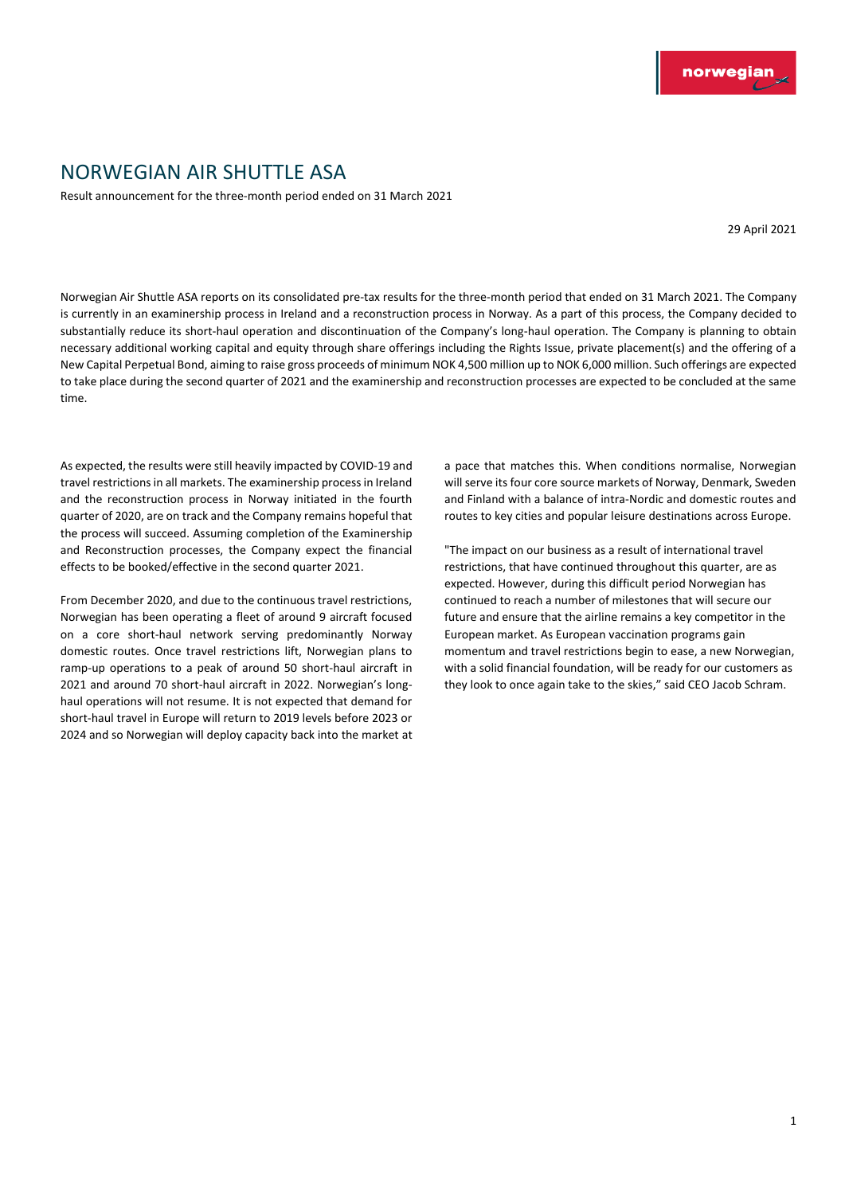## NORWEGIAN AIR SHUTTLE ASA

Result announcement for the three-month period ended on 31 March 2021

29 April 2021

Norwegian Air Shuttle ASA reports on its consolidated pre-tax results for the three-month period that ended on 31 March 2021. The Company is currently in an examinership process in Ireland and a reconstruction process in Norway. As a part of this process, the Company decided to substantially reduce its short-haul operation and discontinuation of the Company's long-haul operation. The Company is planning to obtain necessary additional working capital and equity through share offerings including the Rights Issue, private placement(s) and the offering of a New Capital Perpetual Bond, aiming to raise gross proceeds of minimum NOK 4,500 million up to NOK 6,000 million. Such offerings are expected to take place during the second quarter of 2021 and the examinership and reconstruction processes are expected to be concluded at the same time.

As expected, the results were still heavily impacted by COVID-19 and travel restrictions in all markets. The examinership process in Ireland and the reconstruction process in Norway initiated in the fourth quarter of 2020, are on track and the Company remains hopeful that the process will succeed. Assuming completion of the Examinership and Reconstruction processes, the Company expect the financial effects to be booked/effective in the second quarter 2021.

From December 2020, and due to the continuous travel restrictions, Norwegian has been operating a fleet of around 9 aircraft focused on a core short-haul network serving predominantly Norway domestic routes. Once travel restrictions lift, Norwegian plans to ramp-up operations to a peak of around 50 short-haul aircraft in 2021 and around 70 short-haul aircraft in 2022. Norwegian's longhaul operations will not resume. It is not expected that demand for short-haul travel in Europe will return to 2019 levels before 2023 or 2024 and so Norwegian will deploy capacity back into the market at a pace that matches this. When conditions normalise, Norwegian will serve its four core source markets of Norway, Denmark, Sweden and Finland with a balance of intra-Nordic and domestic routes and routes to key cities and popular leisure destinations across Europe.

"The impact on our business as a result of international travel restrictions, that have continued throughout this quarter, are as expected. However, during this difficult period Norwegian has continued to reach a number of milestones that will secure our future and ensure that the airline remains a key competitor in the European market. As European vaccination programs gain momentum and travel restrictions begin to ease, a new Norwegian, with a solid financial foundation, will be ready for our customers as they look to once again take to the skies," said CEO Jacob Schram.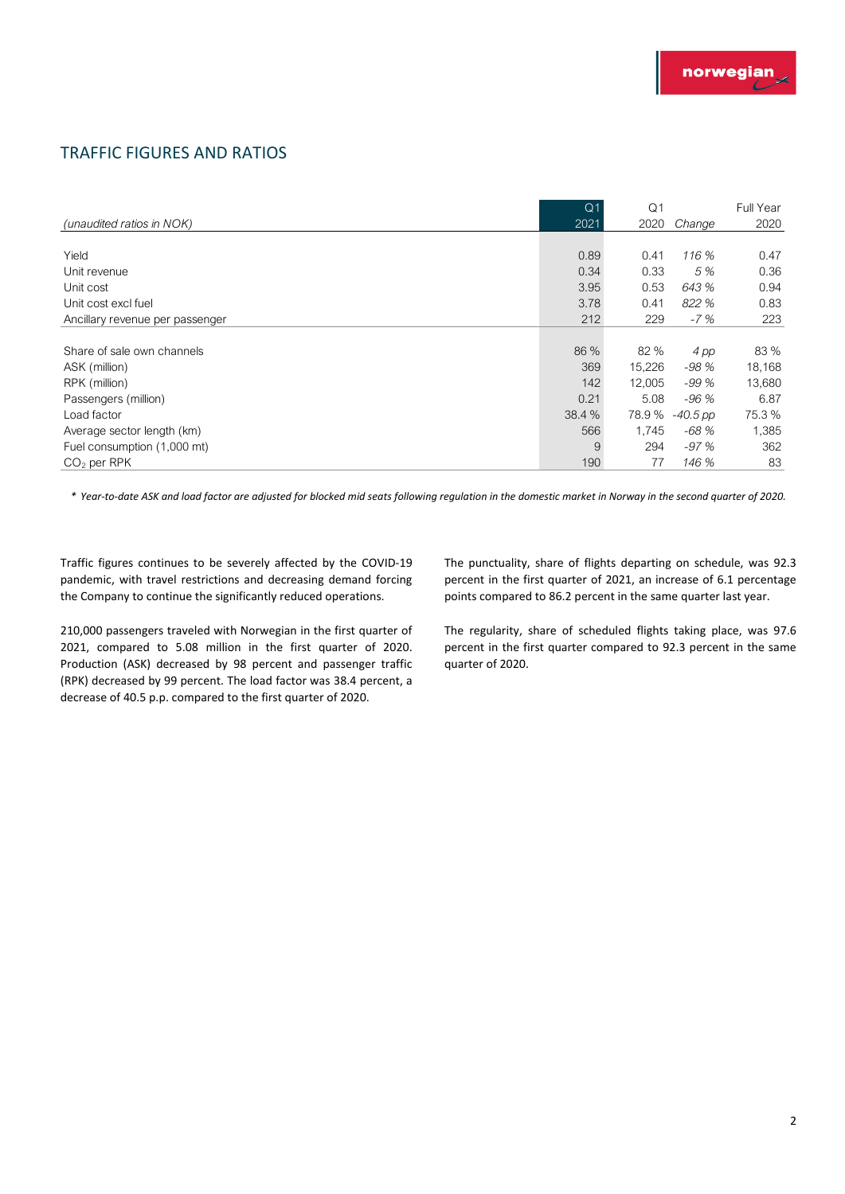### TRAFFIC FIGURES AND RATIOS

| <b>TRAFFIC FIGURES AND RATIOS</b> |                |                |            |           |
|-----------------------------------|----------------|----------------|------------|-----------|
|                                   |                |                |            |           |
|                                   | Q <sub>1</sub> | Q <sub>1</sub> |            | Full Year |
| (unaudited ratios in NOK)         | 2021           | 2020           | Change     | 2020      |
|                                   |                |                |            |           |
| Yield                             | 0.89           | 0.41           | 116 %      | 0.47      |
| Unit revenue                      | 0.34           | 0.33           | 5 %        | 0.36      |
| Unit cost                         | 3.95           | 0.53           | 643 %      | 0.94      |
| Unit cost excl fuel               | 3.78           | 0.41           | 822 %      | 0.83      |
| Ancillary revenue per passenger   | 212            | 229            | $-7%$      | 223       |
|                                   |                |                |            |           |
| Share of sale own channels        | 86 %           | 82 %           | 4 pp       | 83 %      |
| ASK (million)                     | 369            | 15,226         | $-98%$     | 18,168    |
| RPK (million)                     | 142            | 12,005         | $-99%$     | 13,680    |
| Passengers (million)              | 0.21           | 5.08           | $-96%$     | 6.87      |
| Load factor                       | 38.4 %         | 78.9%          | $-40.5$ pp | 75.3 %    |
| Average sector length (km)        | 566            | 1,745          | $-68%$     | 1,385     |
| Fuel consumption (1,000 mt)       | 9              | 294            | $-97%$     | 362       |
| $CO2$ per RPK                     | 190            | 77             | 146 %      | 83        |

*\* Year-to-date ASK and load factor are adjusted for blocked mid seats following regulation in the domestic market in Norway in the second quarter of 2020.*

Traffic figures continues to be severely affected by the COVID-19 pandemic, with travel restrictions and decreasing demand forcing the Company to continue the significantly reduced operations.

210,000 passengers traveled with Norwegian in the first quarter of 2021, compared to 5.08 million in the first quarter of 2020. Production (ASK) decreased by 98 percent and passenger traffic (RPK) decreased by 99 percent. The load factor was 38.4 percent, a decrease of 40.5 p.p. compared to the first quarter of 2020.

The punctuality, share of flights departing on schedule, was 92.3 percent in the first quarter of 2021, an increase of 6.1 percentage points compared to 86.2 percent in the same quarter last year.

The regularity, share of scheduled flights taking place, was 97.6 percent in the first quarter compared to 92.3 percent in the same quarter of 2020.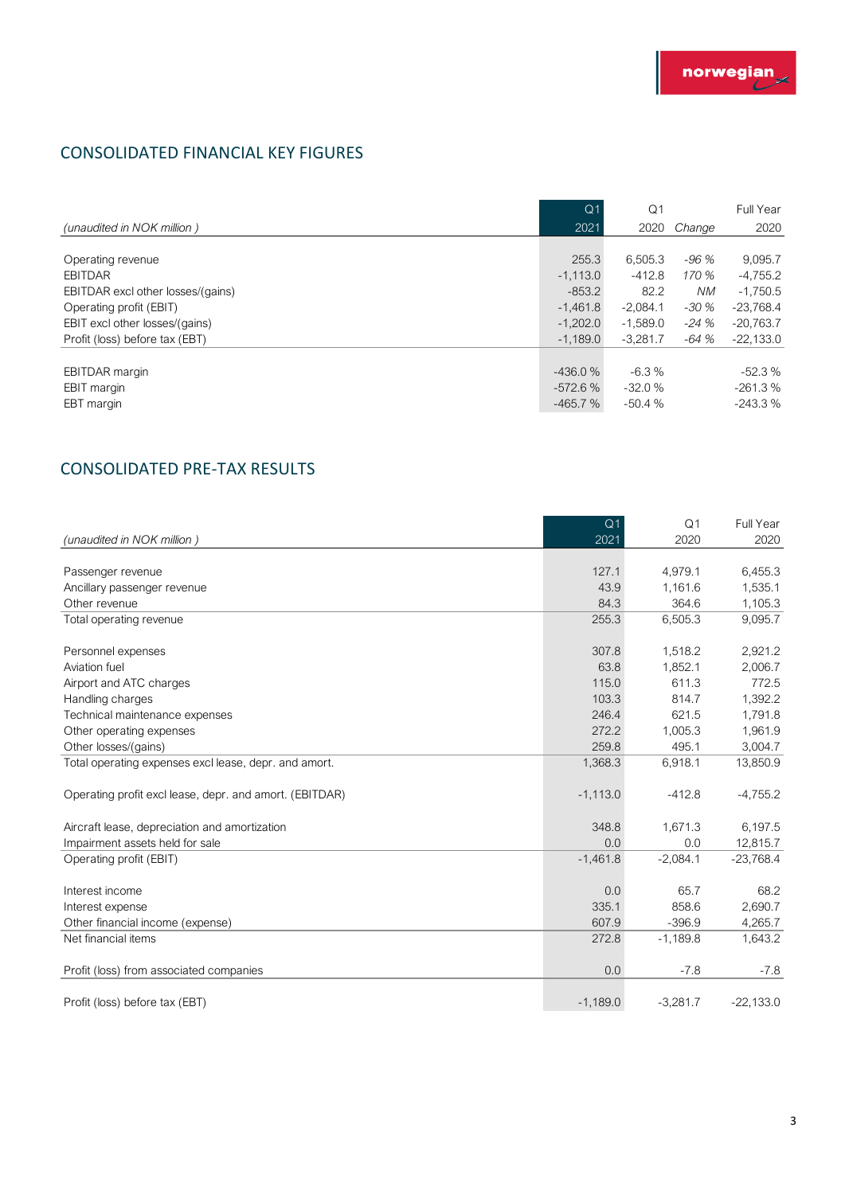### CONSOLIDATED FINANCIAL KEY FIGURES

| <b>CONSOLIDATED FINANCIAL KEY FIGURES</b>                                                                                                                               |                                                                           |                                                                       |                                                    |                                                                                  |
|-------------------------------------------------------------------------------------------------------------------------------------------------------------------------|---------------------------------------------------------------------------|-----------------------------------------------------------------------|----------------------------------------------------|----------------------------------------------------------------------------------|
|                                                                                                                                                                         | Q <sub>1</sub>                                                            | Q <sub>1</sub>                                                        |                                                    | Full Year                                                                        |
| (unaudited in NOK million)                                                                                                                                              | 2021                                                                      | 2020                                                                  | Change                                             | 2020                                                                             |
| Operating revenue<br><b>EBITDAR</b><br>EBITDAR excl other losses/(gains)<br>Operating profit (EBIT)<br>EBIT excl other losses/(gains)<br>Profit (loss) before tax (EBT) | 255.3<br>$-1,113.0$<br>$-853.2$<br>$-1,461.8$<br>$-1,202.0$<br>$-1.189.0$ | 6,505.3<br>$-412.8$<br>82.2<br>$-2,084.1$<br>$-1,589.0$<br>$-3.281.7$ | $-96%$<br>170 %<br>NM.<br>$-30%$<br>-24 %<br>-64 % | 9,095.7<br>$-4,755.2$<br>$-1,750.5$<br>$-23,768.4$<br>$-20,763.7$<br>$-22,133.0$ |
| <b>EBITDAR</b> margin<br>EBIT margin<br>EBT margin                                                                                                                      | $-436.0%$<br>$-572.6%$<br>$-465.7%$                                       | $-6.3%$<br>$-32.0%$<br>$-50.4%$                                       |                                                    | $-52.3%$<br>$-261.3%$<br>$-243.3%$                                               |

### CONSOLIDATED PRE-TAX RESULTS

| <b>CONSOLIDATED PRE-TAX RESULTS</b>                     |                |                |             |
|---------------------------------------------------------|----------------|----------------|-------------|
|                                                         | Q <sub>1</sub> | Q <sub>1</sub> | Full Year   |
| (unaudited in NOK million)                              | 2021           | 2020           | 2020        |
| Passenger revenue                                       | 127.1          | 4,979.1        | 6,455.3     |
| Ancillary passenger revenue                             | 43.9           | 1,161.6        | 1,535.1     |
| Other revenue                                           | 84.3           | 364.6          | 1,105.3     |
| Total operating revenue                                 | 255.3          | 6,505.3        | 9,095.7     |
| Personnel expenses                                      | 307.8          | 1,518.2        | 2,921.2     |
| Aviation fuel                                           | 63.8           | 1,852.1        | 2,006.7     |
| Airport and ATC charges                                 | 115.0          | 611.3          | 772.5       |
| Handling charges                                        | 103.3          | 814.7          | 1,392.2     |
| Technical maintenance expenses                          | 246.4          | 621.5          | 1,791.8     |
| Other operating expenses                                | 272.2          | 1,005.3        | 1,961.9     |
| Other losses/(gains)                                    | 259.8          | 495.1          | 3,004.7     |
| Total operating expenses excl lease, depr. and amort.   | 1,368.3        | 6,918.1        | 13,850.9    |
| Operating profit excl lease, depr. and amort. (EBITDAR) | $-1,113.0$     | $-412.8$       | $-4,755.2$  |
| Aircraft lease, depreciation and amortization           | 348.8          | 1,671.3        | 6,197.5     |
| Impairment assets held for sale                         | 0.0            | 0.0            | 12,815.7    |
| Operating profit (EBIT)                                 | $-1,461.8$     | $-2,084.1$     | $-23,768.4$ |
| Interest income                                         | 0.0            | 65.7           | 68.2        |
| Interest expense                                        | 335.1          | 858.6          | 2,690.7     |
| Other financial income (expense)                        | 607.9          | $-396.9$       | 4,265.7     |
| Net financial items                                     | 272.8          | $-1,189.8$     | 1,643.2     |
| Profit (loss) from associated companies                 | 0.0            | $-7.8$         | $-7.8$      |
| Profit (loss) before tax (EBT)                          | $-1,189.0$     | $-3,281.7$     | $-22,133.0$ |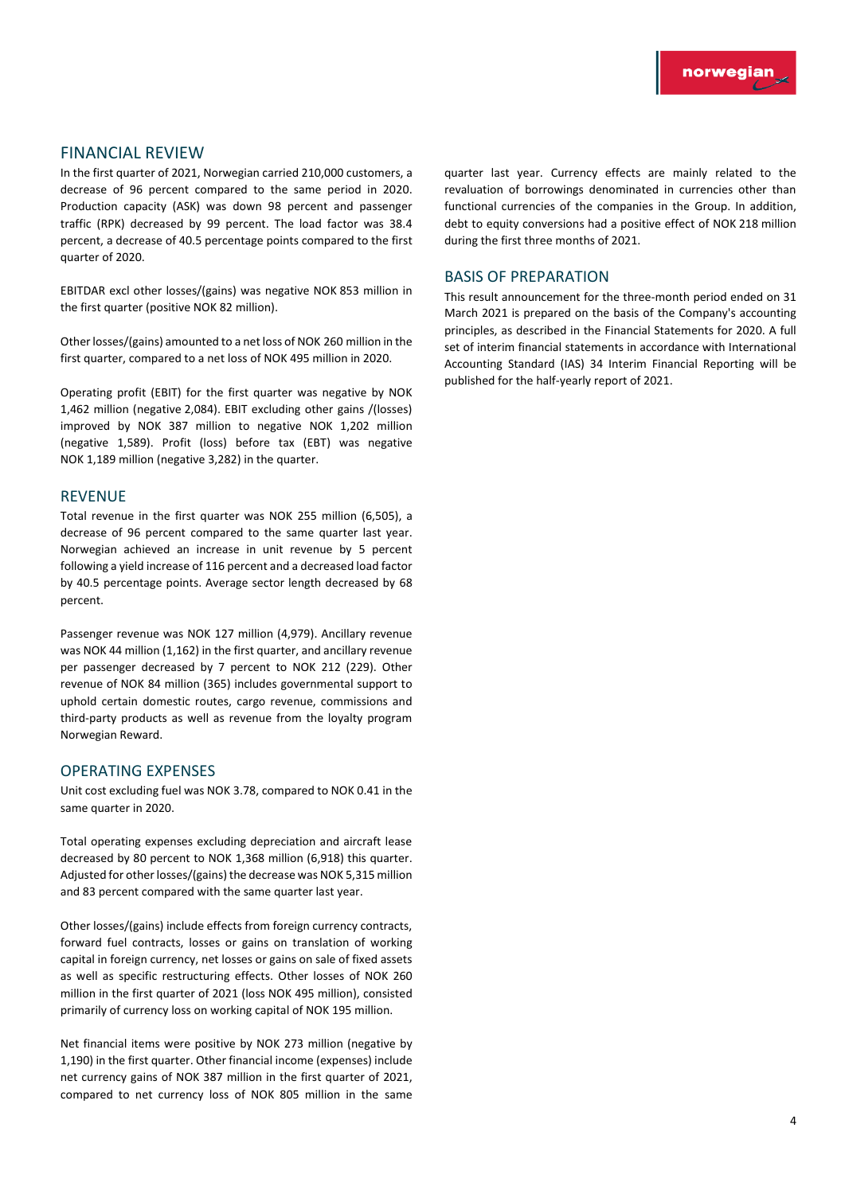### FINANCIAL REVIEW

In the first quarter of 2021, Norwegian carried 210,000 customers, a decrease of 96 percent compared to the same period in 2020. Production capacity (ASK) was down 98 percent and passenger traffic (RPK) decreased by 99 percent. The load factor was 38.4 percent, a decrease of 40.5 percentage points compared to the first quarter of 2020.

EBITDAR excl other losses/(gains) was negative NOK 853 million in the first quarter (positive NOK 82 million).

Other losses/(gains) amounted to a net loss of NOK 260 million in the first quarter, compared to a net loss of NOK 495 million in 2020.

Operating profit (EBIT) for the first quarter was negative by NOK 1,462 million (negative 2,084). EBIT excluding other gains /(losses) improved by NOK 387 million to negative NOK 1,202 million (negative 1,589). Profit (loss) before tax (EBT) was negative NOK 1,189 million (negative 3,282) in the quarter.

#### REVENUE

Total revenue in the first quarter was NOK 255 million (6,505), a decrease of 96 percent compared to the same quarter last year. Norwegian achieved an increase in unit revenue by 5 percent following a yield increase of 116 percent and a decreased load factor by 40.5 percentage points. Average sector length decreased by 68 percent.

Passenger revenue was NOK 127 million (4,979). Ancillary revenue was NOK 44 million (1,162) in the first quarter, and ancillary revenue per passenger decreased by 7 percent to NOK 212 (229). Other revenue of NOK 84 million (365) includes governmental support to uphold certain domestic routes, cargo revenue, commissions and third-party products as well as revenue from the loyalty program Norwegian Reward.

#### OPERATING EXPENSES

Unit cost excluding fuel was NOK 3.78, compared to NOK 0.41 in the same quarter in 2020.

Total operating expenses excluding depreciation and aircraft lease decreased by 80 percent to NOK 1,368 million (6,918) this quarter. Adjusted for other losses/(gains) the decrease was NOK 5,315 million and 83 percent compared with the same quarter last year.

Other losses/(gains) include effects from foreign currency contracts, forward fuel contracts, losses or gains on translation of working capital in foreign currency, net losses or gains on sale of fixed assets as well as specific restructuring effects. Other losses of NOK 260 million in the first quarter of 2021 (loss NOK 495 million), consisted primarily of currency loss on working capital of NOK 195 million.

Net financial items were positive by NOK 273 million (negative by 1,190) in the first quarter. Other financial income (expenses) include net currency gains of NOK 387 million in the first quarter of 2021, compared to net currency loss of NOK 805 million in the same

quarter last year. Currency effects are mainly related to the revaluation of borrowings denominated in currencies other than functional currencies of the companies in the Group. In addition, debt to equity conversions had a positive effect of NOK 218 million during the first three months of 2021.

#### BASIS OF PREPARATION

This result announcement for the three-month period ended on 31 March 2021 is prepared on the basis of the Company's accounting principles, as described in the Financial Statements for 2020. A full set of interim financial statements in accordance with International Accounting Standard (IAS) 34 Interim Financial Reporting will be published for the half-yearly report of 2021.